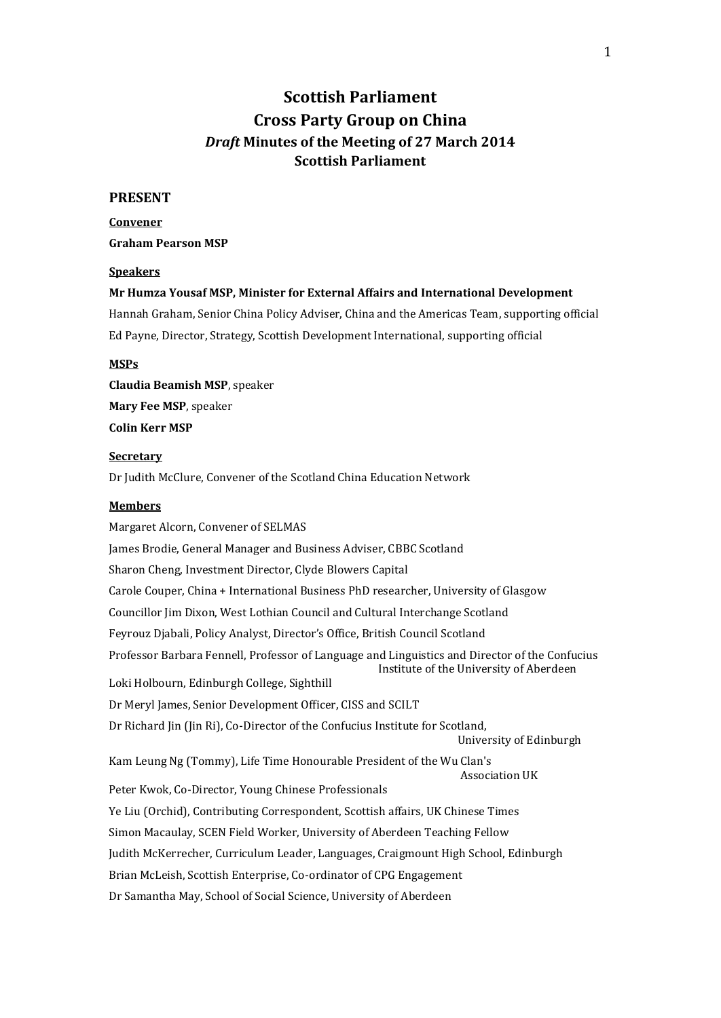# **Scottish Parliament Cross Party Group on China** *Draft* **Minutes of the Meeting of 27 March 2014 Scottish Parliament**

#### **PRESENT**

**Convener Graham Pearson MSP**

#### **Speakers**

#### **Mr Humza Yousaf MSP, Minister for External Affairs and International Development**

Hannah Graham, Senior China Policy Adviser, China and the Americas Team, supporting official Ed Payne, Director, Strategy, Scottish Development International, supporting official

#### **MSPs**

**Claudia Beamish MSP**, speaker **Mary Fee MSP**, speaker **Colin Kerr MSP**

#### **Secretary**

Dr Judith McClure, Convener of the Scotland China Education Network

#### **Members**

Margaret Alcorn, Convener of SELMAS James Brodie, General Manager and Business Adviser, CBBC Scotland Sharon Cheng, Investment Director, Clyde Blowers Capital Carole Couper, China + International Business PhD researcher, University of Glasgow Councillor Jim Dixon, West Lothian Council and Cultural Interchange Scotland Feyrouz Djabali, Policy Analyst, Director's Office, British Council Scotland Professor Barbara Fennell, Professor of Language and Linguistics and Director of the Confucius Institute of the University of Aberdeen Loki Holbourn, Edinburgh College, Sighthill Dr Meryl James, Senior Development Officer, CISS and SCILT Dr Richard Jin (Jin Ri), Co-Director of the Confucius Institute for Scotland, University of Edinburgh Kam Leung Ng (Tommy), Life Time Honourable President of the Wu Clan's Association UK Peter Kwok, Co-Director, Young Chinese Professionals Ye Liu (Orchid), Contributing Correspondent, Scottish affairs, UK Chinese Times Simon Macaulay, SCEN Field Worker, University of Aberdeen Teaching Fellow Judith McKerrecher, Curriculum Leader, Languages, Craigmount High School, Edinburgh Brian McLeish, Scottish Enterprise, Co-ordinator of CPG Engagement Dr Samantha May, School of Social Science, University of Aberdeen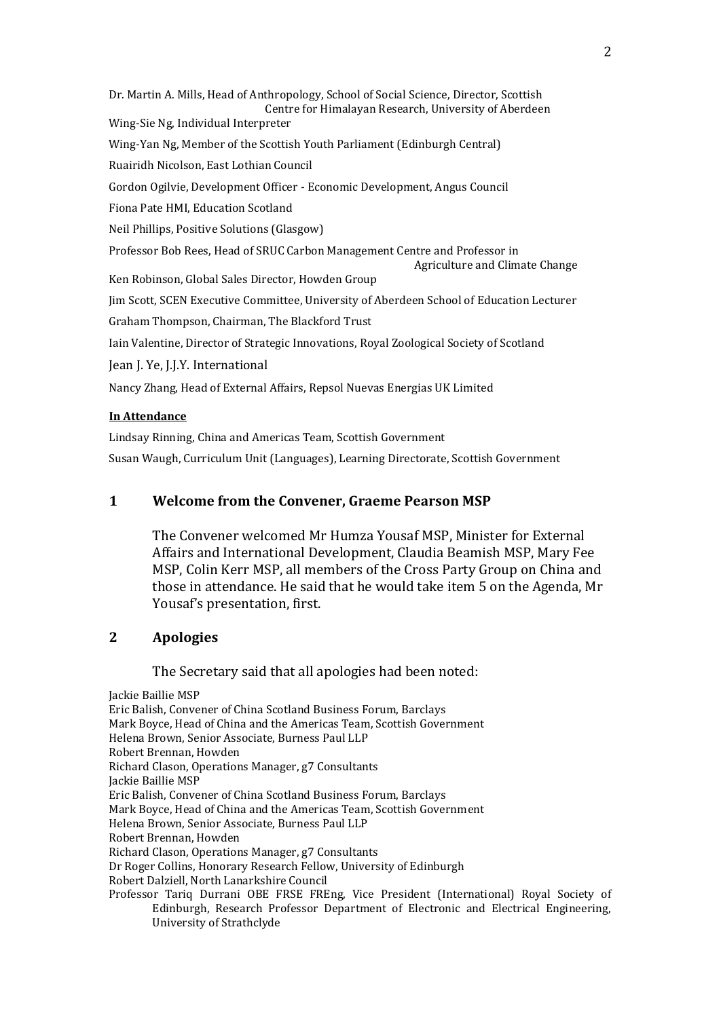Dr. Martin A. Mills, Head of Anthropology, School of Social Science, Director, Scottish Centre for Himalayan Research, University of Aberdeen Wing-Sie Ng, Individual Interpreter Wing-Yan Ng, Member of the Scottish Youth Parliament (Edinburgh Central) Ruairidh Nicolson, East Lothian Council Gordon Ogilvie, Development Officer - Economic Development, Angus Council Fiona Pate HMI, Education Scotland Neil Phillips, Positive Solutions (Glasgow) Professor Bob Rees, Head of SRUC Carbon Management Centre and Professor in Agriculture and Climate Change Ken Robinson, Global Sales Director, Howden Group Jim Scott, SCEN Executive Committee, University of Aberdeen School of Education Lecturer Graham Thompson, Chairman, The Blackford Trust Iain Valentine, Director of Strategic Innovations, Royal Zoological Society of Scotland Jean J. Ye, J.J.Y. International Nancy Zhang, Head of External Affairs, Repsol Nuevas Energias UK Limited

#### **In Attendance**

Lindsay Rinning, China and Americas Team, Scottish Government Susan Waugh, Curriculum Unit (Languages), Learning Directorate, Scottish Government

### **1 Welcome from the Convener, Graeme Pearson MSP**

The Convener welcomed Mr Humza Yousaf MSP, Minister for External Affairs and International Development, Claudia Beamish MSP, Mary Fee MSP, Colin Kerr MSP, all members of the Cross Party Group on China and those in attendance. He said that he would take item 5 on the Agenda, Mr Yousaf's presentation, first.

## **2 Apologies**

The Secretary said that all apologies had been noted:

Jackie Baillie MSP Eric Balish, Convener of China Scotland Business Forum, Barclays Mark Boyce, Head of China and the Americas Team, Scottish Government Helena Brown, Senior Associate, Burness Paul LLP Robert Brennan, Howden Richard Clason, Operations Manager, g7 Consultants Jackie Baillie MSP Eric Balish, Convener of China Scotland Business Forum, Barclays Mark Boyce, Head of China and the Americas Team, Scottish Government Helena Brown, Senior Associate, Burness Paul LLP Robert Brennan, Howden Richard Clason, Operations Manager, g7 Consultants Dr Roger Collins, Honorary Research Fellow, University of Edinburgh Robert Dalziell, North Lanarkshire Council Professor Tariq Durrani OBE FRSE FREng, Vice President (International) Royal Society of Edinburgh, Research Professor Department of Electronic and Electrical Engineering, University of Strathclyde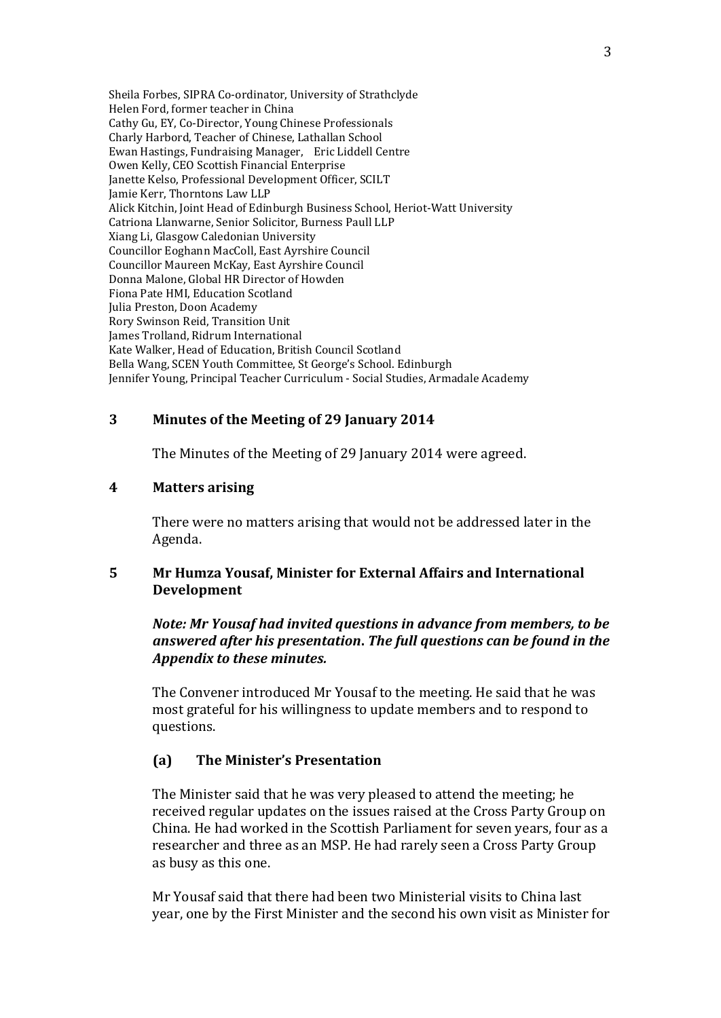Sheila Forbes, SIPRA Co-ordinator, University of Strathclyde Helen Ford, former teacher in China Cathy Gu, EY, Co-Director, Young Chinese Professionals Charly Harbord, Teacher of Chinese, Lathallan School Ewan Hastings, Fundraising Manager, Eric Liddell Centre Owen Kelly, CEO Scottish Financial Enterprise Janette Kelso, Professional Development Officer, SCILT Jamie Kerr, Thorntons Law LLP Alick Kitchin, Joint Head of Edinburgh Business School, Heriot-Watt University Catriona Llanwarne, Senior Solicitor, Burness Paull LLP Xiang Li, Glasgow Caledonian University Councillor Eoghann MacColl, East Ayrshire Council Councillor Maureen McKay, East Ayrshire Council Donna Malone, Global HR Director of Howden Fiona Pate HMI, Education Scotland Julia Preston, Doon Academy Rory Swinson Reid, Transition Unit James Trolland, Ridrum International Kate Walker, Head of Education, British Council Scotland Bella Wang, SCEN Youth Committee, St George's School. Edinburgh Jennifer Young, Principal Teacher Curriculum - Social Studies, Armadale Academy

### **3 Minutes of the Meeting of 29 January 2014**

The Minutes of the Meeting of 29 January 2014 were agreed.

### **4 Matters arising**

There were no matters arising that would not be addressed later in the Agenda.

### **5 Mr Humza Yousaf, Minister for External Affairs and International Development**

### *Note: Mr Yousaf had invited questions in advance from members, to be answered after his presentation***.** *The full questions can be found in the Appendix to these minutes.*

The Convener introduced Mr Yousaf to the meeting. He said that he was most grateful for his willingness to update members and to respond to questions.

### **(a) The Minister's Presentation**

The Minister said that he was very pleased to attend the meeting; he received regular updates on the issues raised at the Cross Party Group on China. He had worked in the Scottish Parliament for seven years, four as a researcher and three as an MSP. He had rarely seen a Cross Party Group as busy as this one.

Mr Yousaf said that there had been two Ministerial visits to China last year, one by the First Minister and the second his own visit as Minister for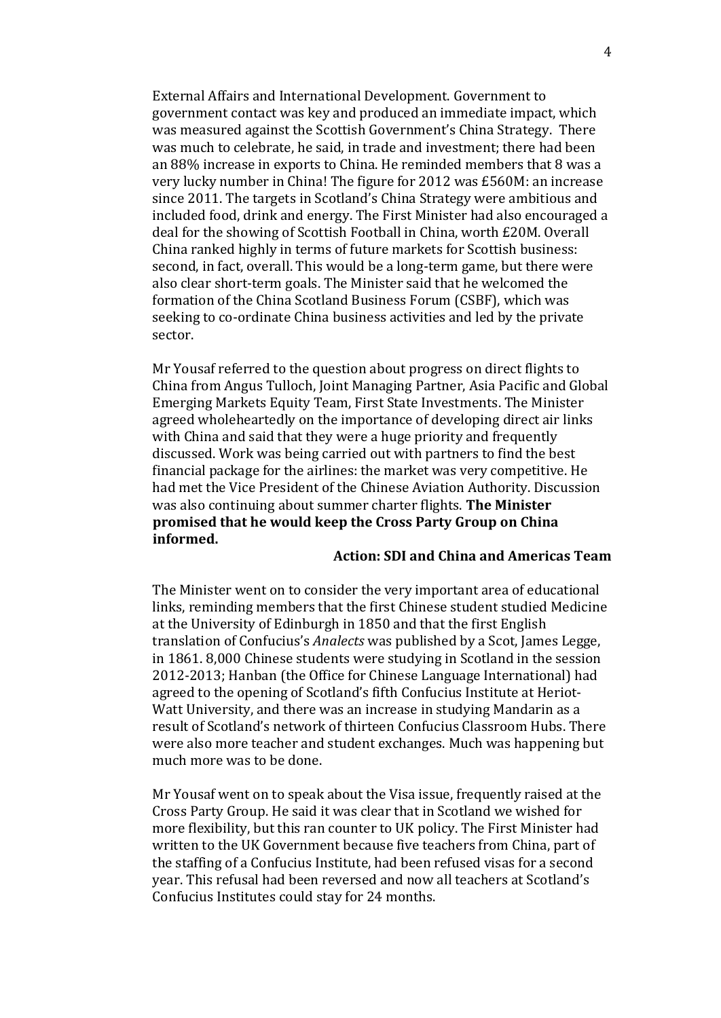External Affairs and International Development. Government to government contact was key and produced an immediate impact, which was measured against the Scottish Government's China Strategy. There was much to celebrate, he said, in trade and investment; there had been an 88% increase in exports to China. He reminded members that 8 was a very lucky number in China! The figure for 2012 was £560M: an increase since 2011. The targets in Scotland's China Strategy were ambitious and included food, drink and energy. The First Minister had also encouraged a deal for the showing of Scottish Football in China, worth £20M. Overall China ranked highly in terms of future markets for Scottish business: second, in fact, overall. This would be a long-term game, but there were also clear short-term goals. The Minister said that he welcomed the formation of the China Scotland Business Forum (CSBF), which was seeking to co-ordinate China business activities and led by the private sector.

Mr Yousaf referred to the question about progress on direct flights to China from Angus Tulloch, Joint Managing Partner, Asia Pacific and Global Emerging Markets Equity Team, First State Investments. The Minister agreed wholeheartedly on the importance of developing direct air links with China and said that they were a huge priority and frequently discussed. Work was being carried out with partners to find the best financial package for the airlines: the market was very competitive. He had met the Vice President of the Chinese Aviation Authority. Discussion was also continuing about summer charter flights. **The Minister promised that he would keep the Cross Party Group on China informed.**

### **Action: SDI and China and Americas Team**

The Minister went on to consider the very important area of educational links, reminding members that the first Chinese student studied Medicine at the University of Edinburgh in 1850 and that the first English translation of Confucius's *Analects* was published by a Scot, James Legge, in 1861. 8,000 Chinese students were studying in Scotland in the session 2012-2013; Hanban (the Office for Chinese Language International) had agreed to the opening of Scotland's fifth Confucius Institute at Heriot-Watt University, and there was an increase in studying Mandarin as a result of Scotland's network of thirteen Confucius Classroom Hubs. There were also more teacher and student exchanges. Much was happening but much more was to be done.

Mr Yousaf went on to speak about the Visa issue, frequently raised at the Cross Party Group. He said it was clear that in Scotland we wished for more flexibility, but this ran counter to UK policy. The First Minister had written to the UK Government because five teachers from China, part of the staffing of a Confucius Institute, had been refused visas for a second year. This refusal had been reversed and now all teachers at Scotland's Confucius Institutes could stay for 24 months.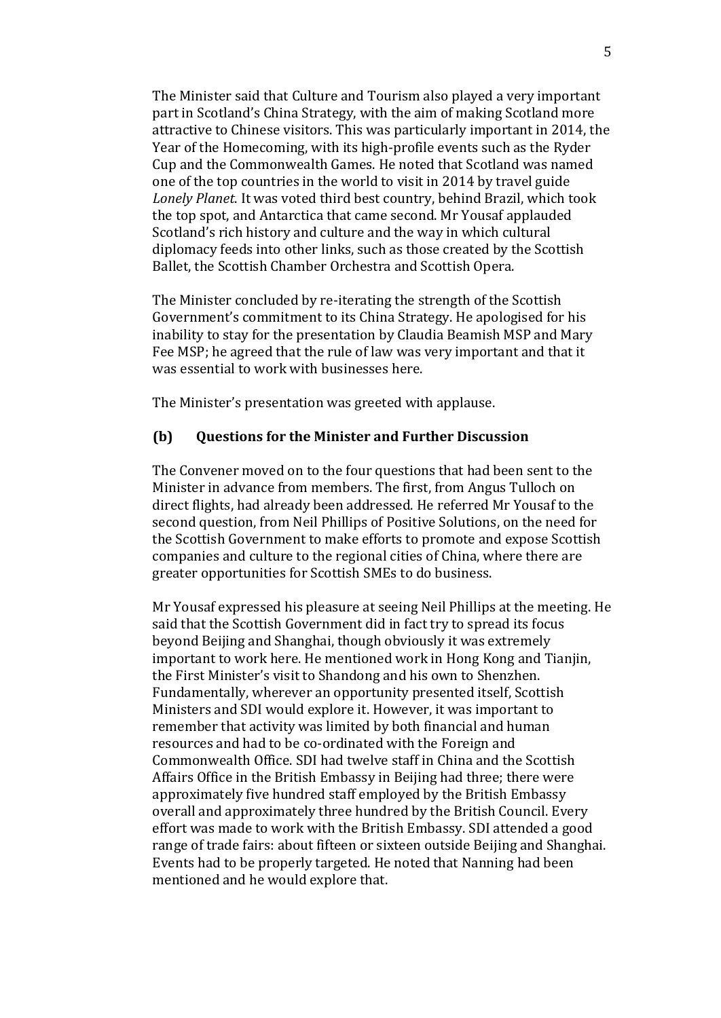The Minister said that Culture and Tourism also played a very important part in Scotland's China Strategy, with the aim of making Scotland more attractive to Chinese visitors. This was particularly important in 2014, the Year of the Homecoming, with its high-profile events such as the Ryder Cup and the Commonwealth Games. He noted that Scotland was named one of the top countries in the world to visit in 2014 by travel guide *Lonely Planet*. It was voted third best country, behind Brazil, which took the top spot, and Antarctica that came second. Mr Yousaf applauded Scotland's rich history and culture and the way in which cultural diplomacy feeds into other links, such as those created by the Scottish Ballet, the Scottish Chamber Orchestra and Scottish Opera.

The Minister concluded by re-iterating the strength of the Scottish Government's commitment to its China Strategy. He apologised for his inability to stay for the presentation by Claudia Beamish MSP and Mary Fee MSP; he agreed that the rule of law was very important and that it was essential to work with businesses here.

The Minister's presentation was greeted with applause.

### **(b) Questions for the Minister and Further Discussion**

The Convener moved on to the four questions that had been sent to the Minister in advance from members. The first, from Angus Tulloch on direct flights, had already been addressed. He referred Mr Yousaf to the second question, from Neil Phillips of Positive Solutions, on the need for the Scottish Government to make efforts to promote and expose Scottish companies and culture to the regional cities of China, where there are greater opportunities for Scottish SMEs to do business.

Mr Yousaf expressed his pleasure at seeing Neil Phillips at the meeting. He said that the Scottish Government did in fact try to spread its focus beyond Beijing and Shanghai, though obviously it was extremely important to work here. He mentioned work in Hong Kong and Tianjin, the First Minister's visit to Shandong and his own to Shenzhen. Fundamentally, wherever an opportunity presented itself, Scottish Ministers and SDI would explore it. However, it was important to remember that activity was limited by both financial and human resources and had to be co-ordinated with the Foreign and Commonwealth Office. SDI had twelve staff in China and the Scottish Affairs Office in the British Embassy in Beijing had three; there were approximately five hundred staff employed by the British Embassy overall and approximately three hundred by the British Council. Every effort was made to work with the British Embassy. SDI attended a good range of trade fairs: about fifteen or sixteen outside Beijing and Shanghai. Events had to be properly targeted. He noted that Nanning had been mentioned and he would explore that.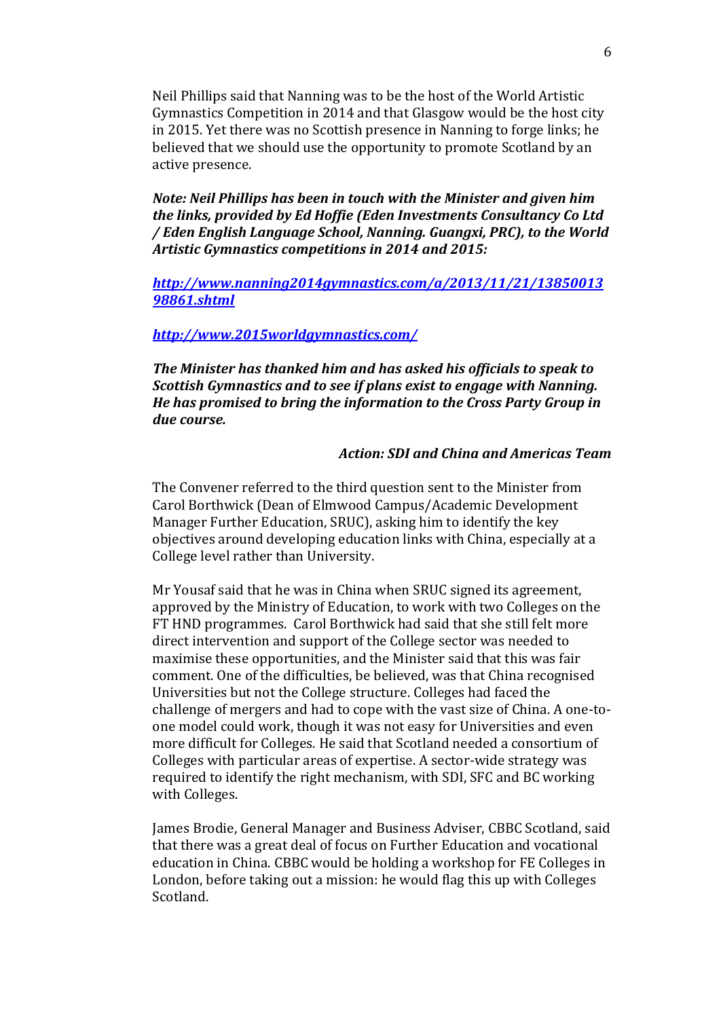Neil Phillips said that Nanning was to be the host of the World Artistic Gymnastics Competition in 2014 and that Glasgow would be the host city in 2015. Yet there was no Scottish presence in Nanning to forge links; he believed that we should use the opportunity to promote Scotland by an active presence.

*Note: Neil Phillips has been in touch with the Minister and given him the links, provided by Ed Hoffie (Eden Investments Consultancy Co Ltd / Eden English Language School, Nanning. Guangxi, PRC), to the World Artistic Gymnastics competitions in 2014 and 2015:*

*[http://www.nanning2014gymnastics.com/a/2013/11/21/13850013](http://www.nanning2014gymnastics.com/a/2013/11/21/1385001398861.shtml) [98861.shtml](http://www.nanning2014gymnastics.com/a/2013/11/21/1385001398861.shtml)*

### *<http://www.2015worldgymnastics.com/>*

*The Minister has thanked him and has asked his officials to speak to Scottish Gymnastics and to see if plans exist to engage with Nanning. He has promised to bring the information to the Cross Party Group in due course.*

### *Action: SDI and China and Americas Team*

The Convener referred to the third question sent to the Minister from Carol Borthwick (Dean of Elmwood Campus/Academic Development Manager Further Education, SRUC), asking him to identify the key objectives around developing education links with China, especially at a College level rather than University.

Mr Yousaf said that he was in China when SRUC signed its agreement, approved by the Ministry of Education, to work with two Colleges on the FT HND programmes. Carol Borthwick had said that she still felt more direct intervention and support of the College sector was needed to maximise these opportunities, and the Minister said that this was fair comment. One of the difficulties, be believed, was that China recognised Universities but not the College structure. Colleges had faced the challenge of mergers and had to cope with the vast size of China. A one-toone model could work, though it was not easy for Universities and even more difficult for Colleges. He said that Scotland needed a consortium of Colleges with particular areas of expertise. A sector-wide strategy was required to identify the right mechanism, with SDI, SFC and BC working with Colleges.

James Brodie, General Manager and Business Adviser, CBBC Scotland, said that there was a great deal of focus on Further Education and vocational education in China. CBBC would be holding a workshop for FE Colleges in London, before taking out a mission: he would flag this up with Colleges Scotland.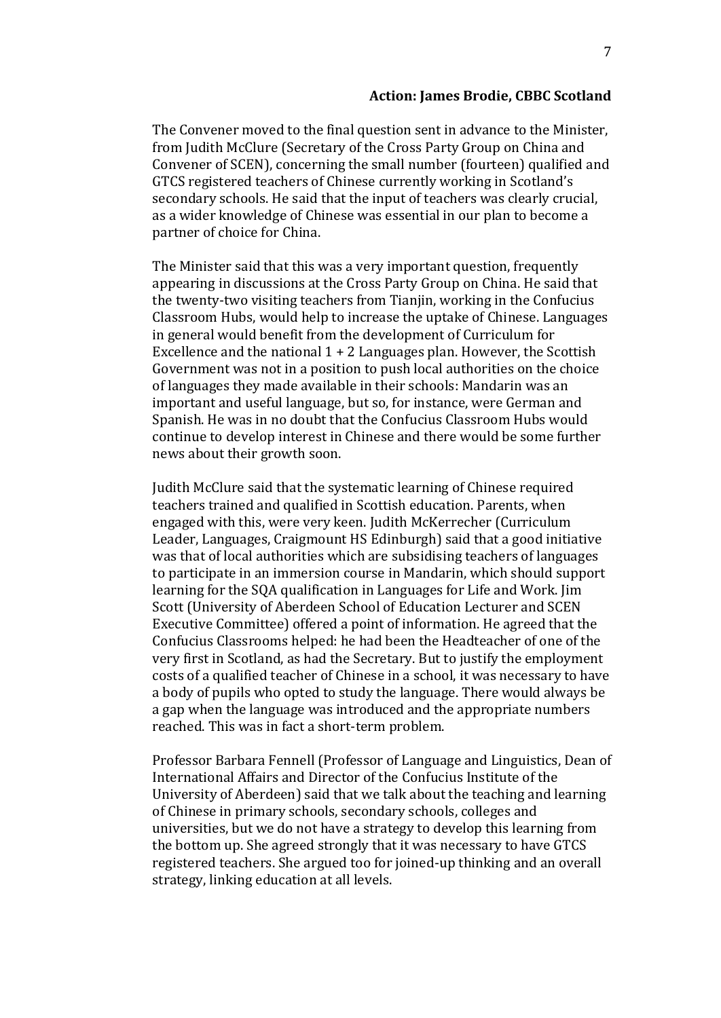#### **Action: James Brodie, CBBC Scotland**

The Convener moved to the final question sent in advance to the Minister, from Judith McClure (Secretary of the Cross Party Group on China and Convener of SCEN), concerning the small number (fourteen) qualified and GTCS registered teachers of Chinese currently working in Scotland's secondary schools. He said that the input of teachers was clearly crucial, as a wider knowledge of Chinese was essential in our plan to become a partner of choice for China.

The Minister said that this was a very important question, frequently appearing in discussions at the Cross Party Group on China. He said that the twenty-two visiting teachers from Tianjin, working in the Confucius Classroom Hubs, would help to increase the uptake of Chinese. Languages in general would benefit from the development of Curriculum for Excellence and the national  $1 + 2$  Languages plan. However, the Scottish Government was not in a position to push local authorities on the choice of languages they made available in their schools: Mandarin was an important and useful language, but so, for instance, were German and Spanish. He was in no doubt that the Confucius Classroom Hubs would continue to develop interest in Chinese and there would be some further news about their growth soon.

Judith McClure said that the systematic learning of Chinese required teachers trained and qualified in Scottish education. Parents, when engaged with this, were very keen. Judith McKerrecher (Curriculum Leader, Languages, Craigmount HS Edinburgh) said that a good initiative was that of local authorities which are subsidising teachers of languages to participate in an immersion course in Mandarin, which should support learning for the SQA qualification in Languages for Life and Work. Jim Scott (University of Aberdeen School of Education Lecturer and SCEN Executive Committee) offered a point of information. He agreed that the Confucius Classrooms helped: he had been the Headteacher of one of the very first in Scotland, as had the Secretary. But to justify the employment costs of a qualified teacher of Chinese in a school, it was necessary to have a body of pupils who opted to study the language. There would always be a gap when the language was introduced and the appropriate numbers reached. This was in fact a short-term problem.

Professor Barbara Fennell (Professor of Language and Linguistics, Dean of International Affairs and Director of the Confucius Institute of the University of Aberdeen) said that we talk about the teaching and learning of Chinese in primary schools, secondary schools, colleges and universities, but we do not have a strategy to develop this learning from the bottom up. She agreed strongly that it was necessary to have GTCS registered teachers. She argued too for joined-up thinking and an overall strategy, linking education at all levels.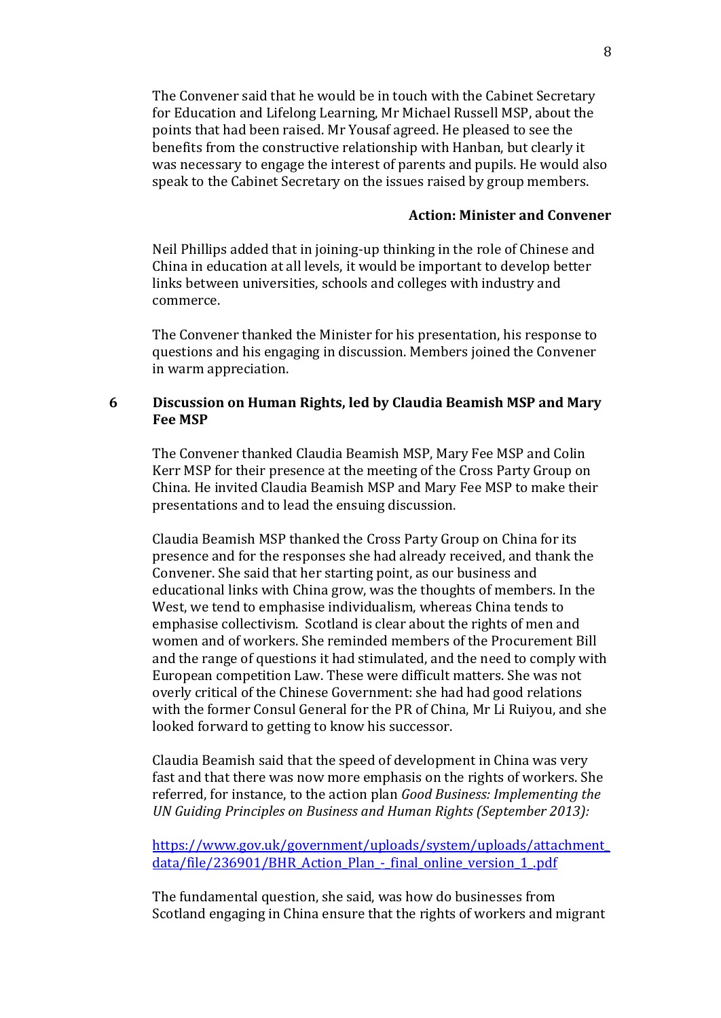The Convener said that he would be in touch with the Cabinet Secretary for Education and Lifelong Learning, Mr Michael Russell MSP, about the points that had been raised. Mr Yousaf agreed. He pleased to see the benefits from the constructive relationship with Hanban, but clearly it was necessary to engage the interest of parents and pupils. He would also speak to the Cabinet Secretary on the issues raised by group members.

### **Action: Minister and Convener**

Neil Phillips added that in joining-up thinking in the role of Chinese and China in education at all levels, it would be important to develop better links between universities, schools and colleges with industry and commerce.

The Convener thanked the Minister for his presentation, his response to questions and his engaging in discussion. Members joined the Convener in warm appreciation.

### **6 Discussion on Human Rights, led by Claudia Beamish MSP and Mary Fee MSP**

The Convener thanked Claudia Beamish MSP, Mary Fee MSP and Colin Kerr MSP for their presence at the meeting of the Cross Party Group on China. He invited Claudia Beamish MSP and Mary Fee MSP to make their presentations and to lead the ensuing discussion.

Claudia Beamish MSP thanked the Cross Party Group on China for its presence and for the responses she had already received, and thank the Convener. She said that her starting point, as our business and educational links with China grow, was the thoughts of members. In the West, we tend to emphasise individualism, whereas China tends to emphasise collectivism. Scotland is clear about the rights of men and women and of workers. She reminded members of the Procurement Bill and the range of questions it had stimulated, and the need to comply with European competition Law. These were difficult matters. She was not overly critical of the Chinese Government: she had had good relations with the former Consul General for the PR of China, Mr Li Ruiyou, and she looked forward to getting to know his successor.

Claudia Beamish said that the speed of development in China was very fast and that there was now more emphasis on the rights of workers. She referred, for instance, to the action plan *Good Business: Implementing the UN Guiding Principles on Business and Human Rights (September 2013):*

[https://www.gov.uk/government/uploads/system/uploads/attachment\\_](https://www.gov.uk/government/uploads/system/uploads/attachment_data/file/236901/BHR_Action_Plan_-_final_online_version_1_.pdf) data/file/236901/BHR\_Action\_Plan - final\_online\_version\_1\_.pdf

The fundamental question, she said, was how do businesses from Scotland engaging in China ensure that the rights of workers and migrant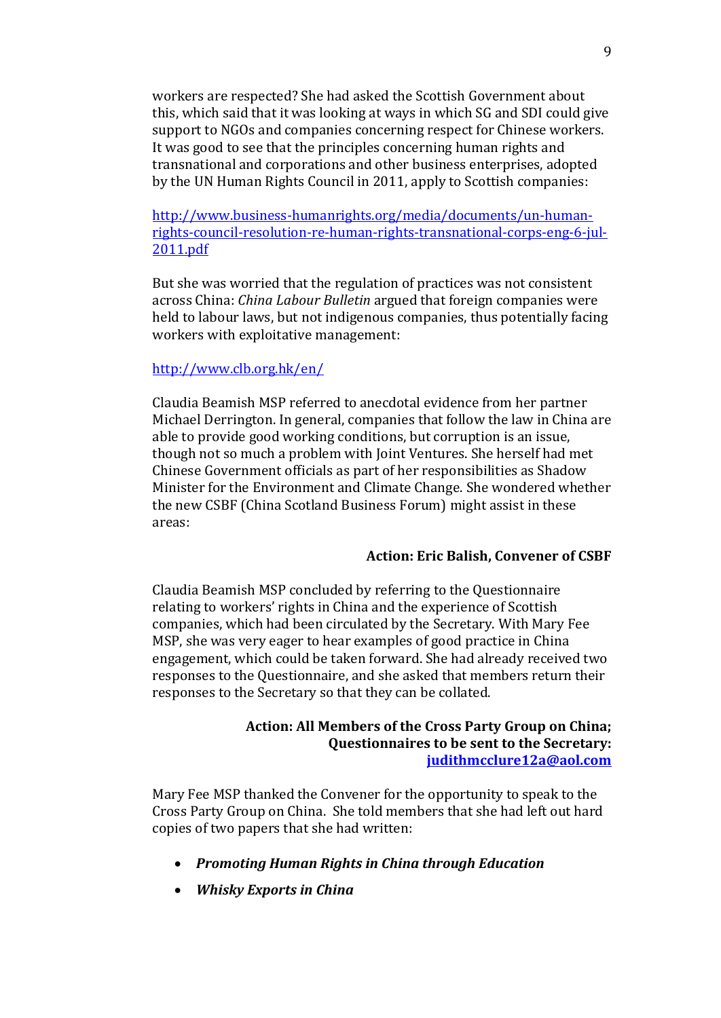workers are respected? She had asked the Scottish Government about this, which said that it was looking at ways in which SG and SDI could give support to NGOs and companies concerning respect for Chinese workers. It was good to see that the principles concerning human rights and transnational and corporations and other business enterprises, adopted by the UN Human Rights Council in 2011, apply to Scottish companies:

[http://www.business-humanrights.org/media/documents/un-human](http://www.business-humanrights.org/media/documents/un-human-rights-council-resolution-re-human-rights-transnational-corps-eng-6-jul-2011.pdf)[rights-council-resolution-re-human-rights-transnational-corps-eng-6-jul-](http://www.business-humanrights.org/media/documents/un-human-rights-council-resolution-re-human-rights-transnational-corps-eng-6-jul-2011.pdf)[2011.pdf](http://www.business-humanrights.org/media/documents/un-human-rights-council-resolution-re-human-rights-transnational-corps-eng-6-jul-2011.pdf)

But she was worried that the regulation of practices was not consistent across China: *China Labour Bulletin* argued that foreign companies were held to labour laws, but not indigenous companies, thus potentially facing workers with exploitative management:

#### <http://www.clb.org.hk/en/>

Claudia Beamish MSP referred to anecdotal evidence from her partner Michael Derrington. In general, companies that follow the law in China are able to provide good working conditions, but corruption is an issue, though not so much a problem with Joint Ventures. She herself had met Chinese Government officials as part of her responsibilities as Shadow Minister for the Environment and Climate Change. She wondered whether the new CSBF (China Scotland Business Forum) might assist in these areas:

#### **Action: Eric Balish, Convener of CSBF**

Claudia Beamish MSP concluded by referring to the Questionnaire relating to workers' rights in China and the experience of Scottish companies, which had been circulated by the Secretary. With Mary Fee MSP, she was very eager to hear examples of good practice in China engagement, which could be taken forward. She had already received two responses to the Questionnaire, and she asked that members return their responses to the Secretary so that they can be collated.

### **Action: All Members of the Cross Party Group on China; Questionnaires to be sent to the Secretary: [judithmcclure12a@aol.com](mailto:judithmcclure12a@aol.com)**

Mary Fee MSP thanked the Convener for the opportunity to speak to the Cross Party Group on China. She told members that she had left out hard copies of two papers that she had written:

- *Promoting Human Rights in China through Education*
- *Whisky Exports in China*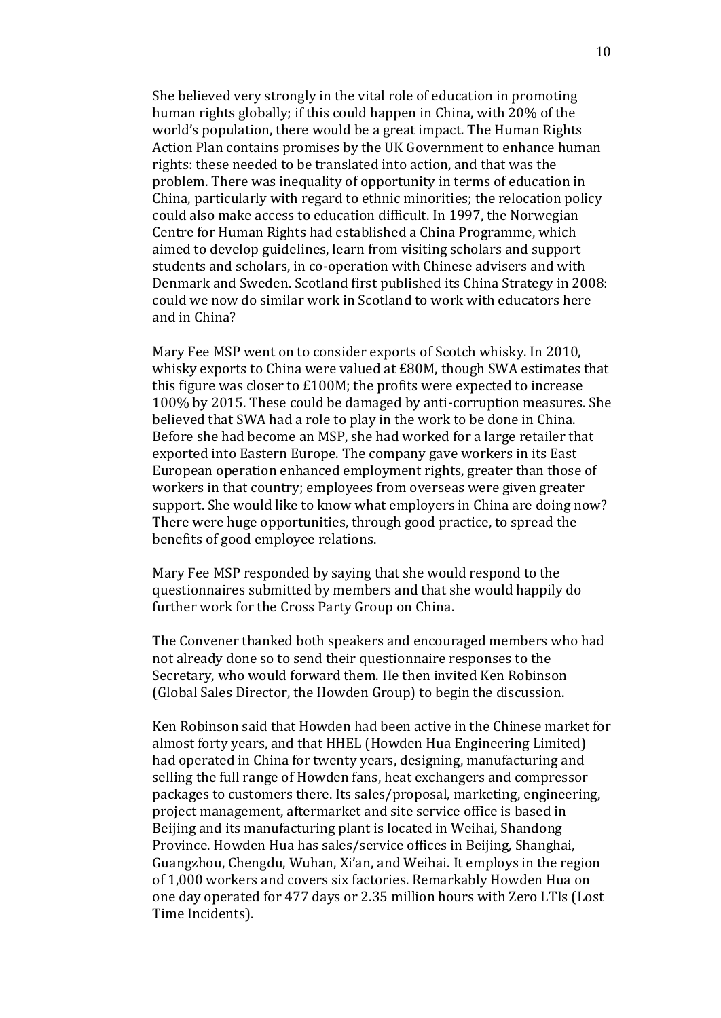She believed very strongly in the vital role of education in promoting human rights globally; if this could happen in China, with 20% of the world's population, there would be a great impact. The Human Rights Action Plan contains promises by the UK Government to enhance human rights: these needed to be translated into action, and that was the problem. There was inequality of opportunity in terms of education in China, particularly with regard to ethnic minorities; the relocation policy could also make access to education difficult. In 1997, the Norwegian Centre for Human Rights had established a China Programme, which aimed to develop guidelines, learn from visiting scholars and support students and scholars, in co-operation with Chinese advisers and with Denmark and Sweden. Scotland first published its China Strategy in 2008: could we now do similar work in Scotland to work with educators here and in China?

Mary Fee MSP went on to consider exports of Scotch whisky. In 2010, whisky exports to China were valued at £80M, though SWA estimates that this figure was closer to £100M; the profits were expected to increase 100% by 2015. These could be damaged by anti-corruption measures. She believed that SWA had a role to play in the work to be done in China. Before she had become an MSP, she had worked for a large retailer that exported into Eastern Europe. The company gave workers in its East European operation enhanced employment rights, greater than those of workers in that country; employees from overseas were given greater support. She would like to know what employers in China are doing now? There were huge opportunities, through good practice, to spread the benefits of good employee relations.

Mary Fee MSP responded by saying that she would respond to the questionnaires submitted by members and that she would happily do further work for the Cross Party Group on China.

The Convener thanked both speakers and encouraged members who had not already done so to send their questionnaire responses to the Secretary, who would forward them. He then invited Ken Robinson (Global Sales Director, the Howden Group) to begin the discussion.

Ken Robinson said that Howden had been active in the Chinese market for almost forty years, and that HHEL (Howden Hua Engineering Limited) had operated in China for twenty years, designing, manufacturing and selling the full range of Howden fans, heat exchangers and compressor packages to customers there. Its sales/proposal, marketing, engineering, project management, aftermarket and site service office is based in Beijing and its manufacturing plant is located in Weihai, Shandong Province. Howden Hua has sales/service offices in Beijing, Shanghai, Guangzhou, Chengdu, Wuhan, Xi'an, and Weihai. It employs in the region of 1,000 workers and covers six factories. Remarkably Howden Hua on one day operated for 477 days or 2.35 million hours with Zero LTIs (Lost Time Incidents).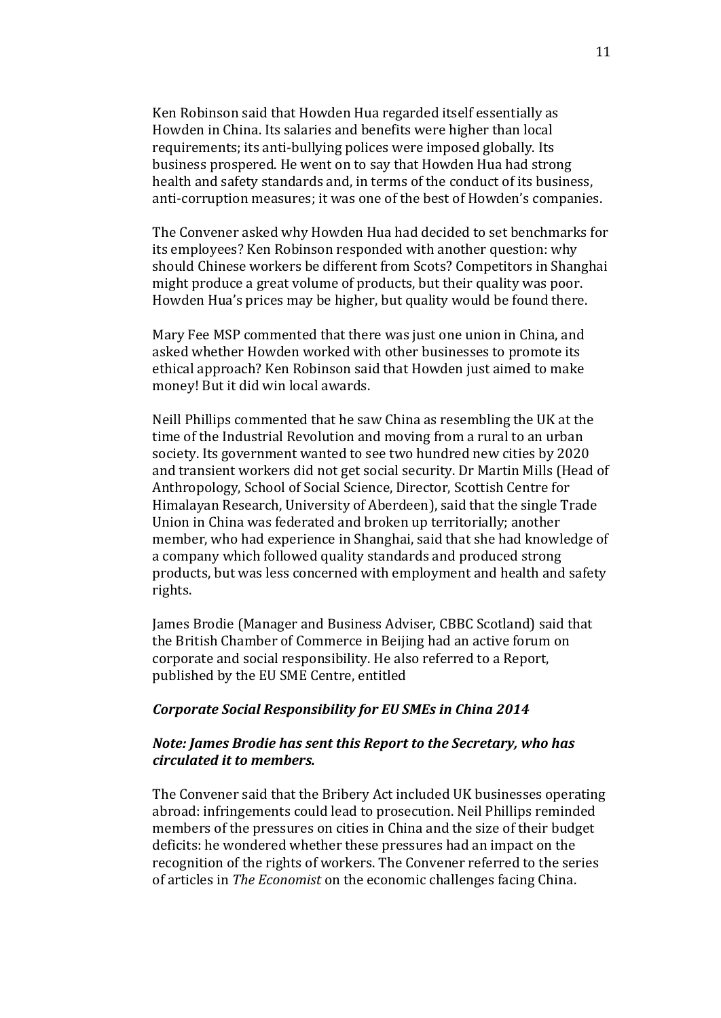Ken Robinson said that Howden Hua regarded itself essentially as Howden in China. Its salaries and benefits were higher than local requirements; its anti-bullying polices were imposed globally. Its business prospered. He went on to say that Howden Hua had strong health and safety standards and, in terms of the conduct of its business, anti-corruption measures; it was one of the best of Howden's companies.

The Convener asked why Howden Hua had decided to set benchmarks for its employees? Ken Robinson responded with another question: why should Chinese workers be different from Scots? Competitors in Shanghai might produce a great volume of products, but their quality was poor. Howden Hua's prices may be higher, but quality would be found there.

Mary Fee MSP commented that there was just one union in China, and asked whether Howden worked with other businesses to promote its ethical approach? Ken Robinson said that Howden just aimed to make money! But it did win local awards.

Neill Phillips commented that he saw China as resembling the UK at the time of the Industrial Revolution and moving from a rural to an urban society. Its government wanted to see two hundred new cities by 2020 and transient workers did not get social security. Dr Martin Mills (Head of Anthropology, School of Social Science, Director, Scottish Centre for Himalayan Research, University of Aberdeen), said that the single Trade Union in China was federated and broken up territorially; another member, who had experience in Shanghai, said that she had knowledge of a company which followed quality standards and produced strong products, but was less concerned with employment and health and safety rights.

James Brodie (Manager and Business Adviser, CBBC Scotland) said that the British Chamber of Commerce in Beijing had an active forum on corporate and social responsibility. He also referred to a Report, published by the EU SME Centre, entitled

#### *Corporate Social Responsibility for EU SMEs in China 2014*

### *Note: James Brodie has sent this Report to the Secretary, who has circulated it to members.*

The Convener said that the Bribery Act included UK businesses operating abroad: infringements could lead to prosecution. Neil Phillips reminded members of the pressures on cities in China and the size of their budget deficits: he wondered whether these pressures had an impact on the recognition of the rights of workers. The Convener referred to the series of articles in *The Economist* on the economic challenges facing China.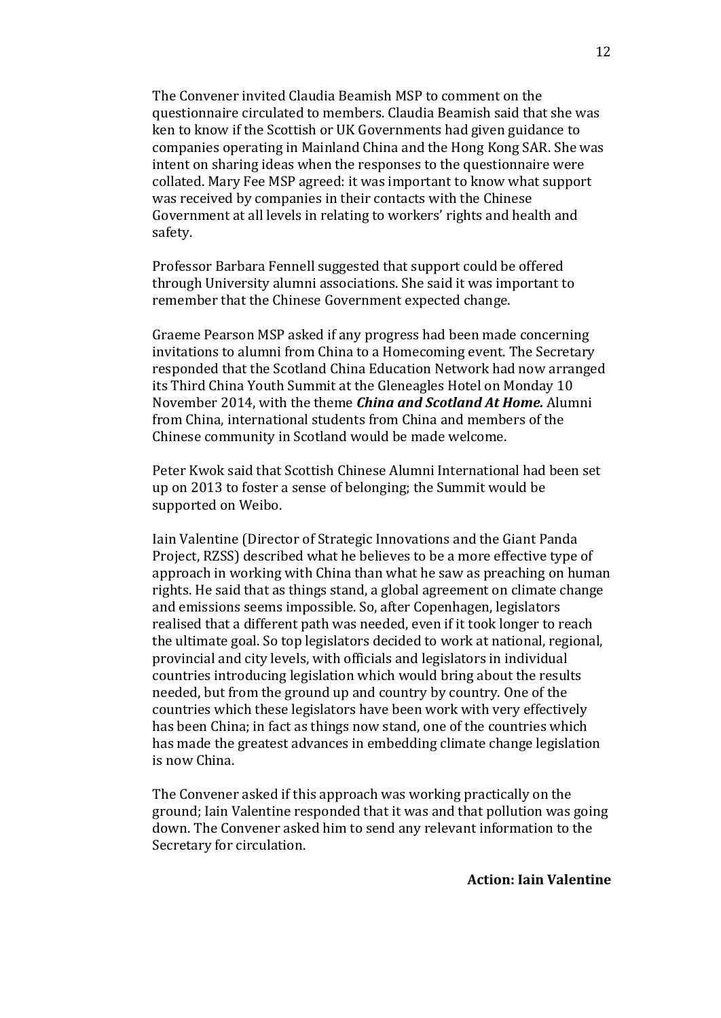The Convener invited Claudia Beamish MSP to comment on the questionnaire circulated to members. Claudia Beamish said that she was ken to know if the Scottish or UK Governments had given guidance to companies operating in Mainland China and the Hong Kong SAR. She was intent on sharing ideas when the responses to the questionnaire were collated. Mary Fee MSP agreed: it was important to know what support was received by companies in their contacts with the Chinese Government at all levels in relating to workers' rights and health and safety.

Professor Barbara Fennell suggested that support could be offered through University alumni associations. She said it was important to remember that the Chinese Government expected change.

Graeme Pearson MSP asked if any progress had been made concerning invitations to alumni from China to a Homecoming event. The Secretary responded that the Scotland China Education Network had now arranged its Third China Youth Summit at the Gleneagles Hotel on Monday 10 November 2014, with the theme *China and Scotland At Home.* Alumni from China, international students from China and members of the Chinese community in Scotland would be made welcome.

Peter Kwok said that Scottish Chinese Alumni International had been set up on 2013 to foster a sense of belonging; the Summit would be supported on Weibo.

Iain Valentine (Director of Strategic Innovations and the Giant Panda Project, RZSS) described what he believes to be a more effective type of approach in working with China than what he saw as preaching on human rights. He said that as things stand, a global agreement on climate change and emissions seems impossible. So, after Copenhagen, legislators realised that a different path was needed, even if it took longer to reach the ultimate goal. So top legislators decided to work at national, regional, provincial and city levels, with officials and legislators in individual countries introducing legislation which would bring about the results needed, but from the ground up and country by country. One of the countries which these legislators have been work with very effectively has been China; in fact as things now stand, one of the countries which has made the greatest advances in embedding climate change legislation is now China.

The Convener asked if this approach was working practically on the ground; Iain Valentine responded that it was and that pollution was going down. The Convener asked him to send any relevant information to the Secretary for circulation.

**Action: Iain Valentine**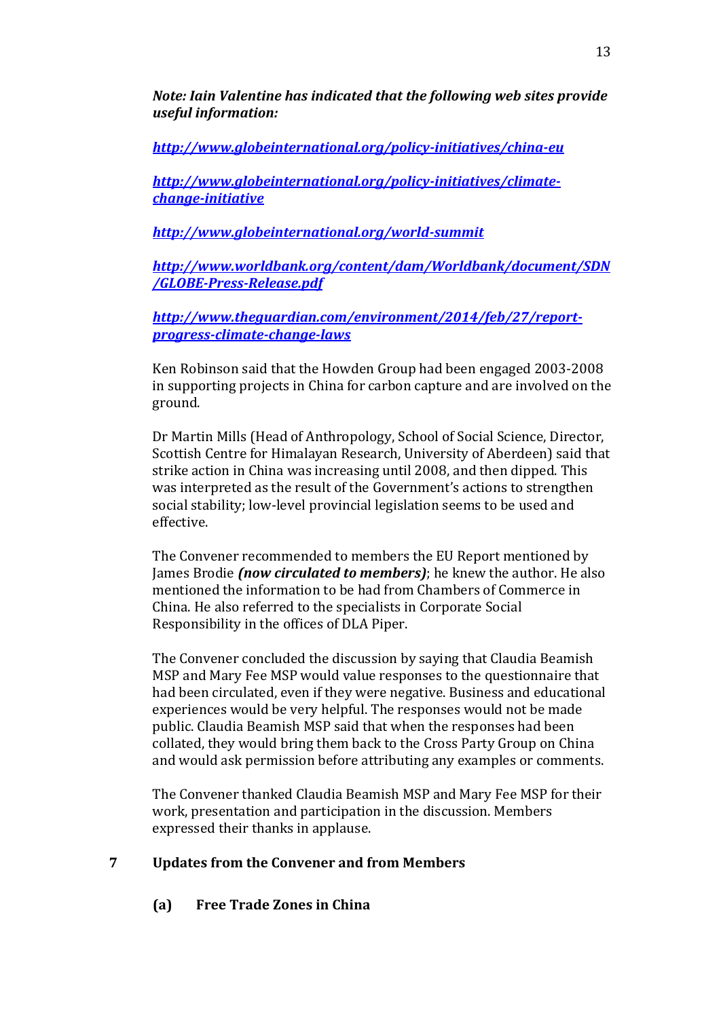*Note: Iain Valentine has indicated that the following web sites provide useful information:*

*<http://www.globeinternational.org/policy-initiatives/china-eu>*

*[http://www.globeinternational.org/policy-initiatives/climate](http://www.globeinternational.org/policy-initiatives/climate-change-initiative)[change-initiative](http://www.globeinternational.org/policy-initiatives/climate-change-initiative)*

*<http://www.globeinternational.org/world-summit>*

*[http://www.worldbank.org/content/dam/Worldbank/document/SDN](http://www.worldbank.org/content/dam/Worldbank/document/SDN/GLOBE-Press-Release.pdf) [/GLOBE-Press-Release.pdf](http://www.worldbank.org/content/dam/Worldbank/document/SDN/GLOBE-Press-Release.pdf)*

*[http://www.theguardian.com/environment/2014/feb/27/report](http://www.theguardian.com/environment/2014/feb/27/report-progress-climate-change-laws)[progress-climate-change-laws](http://www.theguardian.com/environment/2014/feb/27/report-progress-climate-change-laws)*

Ken Robinson said that the Howden Group had been engaged 2003-2008 in supporting projects in China for carbon capture and are involved on the ground.

Dr Martin Mills (Head of Anthropology, School of Social Science, Director, Scottish Centre for Himalayan Research, University of Aberdeen) said that strike action in China was increasing until 2008, and then dipped. This was interpreted as the result of the Government's actions to strengthen social stability; low-level provincial legislation seems to be used and effective.

The Convener recommended to members the EU Report mentioned by James Brodie *(now circulated to members)*; he knew the author. He also mentioned the information to be had from Chambers of Commerce in China. He also referred to the specialists in Corporate Social Responsibility in the offices of DLA Piper.

The Convener concluded the discussion by saying that Claudia Beamish MSP and Mary Fee MSP would value responses to the questionnaire that had been circulated, even if they were negative. Business and educational experiences would be very helpful. The responses would not be made public. Claudia Beamish MSP said that when the responses had been collated, they would bring them back to the Cross Party Group on China and would ask permission before attributing any examples or comments.

The Convener thanked Claudia Beamish MSP and Mary Fee MSP for their work, presentation and participation in the discussion. Members expressed their thanks in applause.

## **7 Updates from the Convener and from Members**

**(a) Free Trade Zones in China**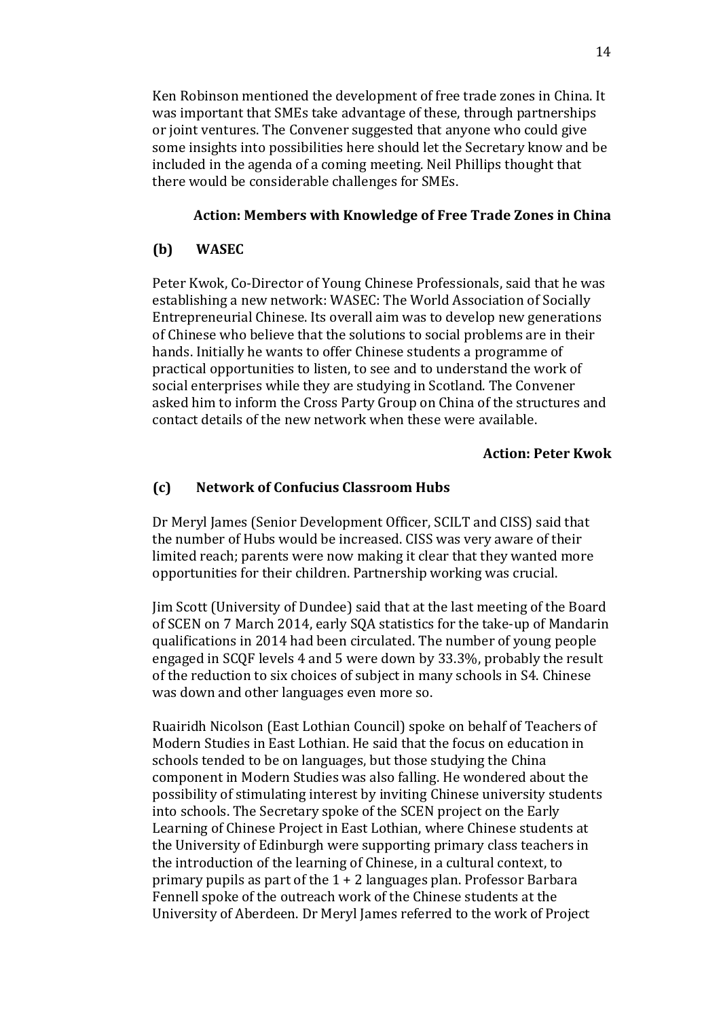Ken Robinson mentioned the development of free trade zones in China. It was important that SMEs take advantage of these, through partnerships or joint ventures. The Convener suggested that anyone who could give some insights into possibilities here should let the Secretary know and be included in the agenda of a coming meeting. Neil Phillips thought that there would be considerable challenges for SMEs.

### **Action: Members with Knowledge of Free Trade Zones in China**

### **(b) WASEC**

Peter Kwok, Co-Director of Young Chinese Professionals, said that he was establishing a new network: WASEC: The World Association of Socially Entrepreneurial Chinese. Its overall aim was to develop new generations of Chinese who believe that the solutions to social problems are in their hands. Initially he wants to offer Chinese students a programme of practical opportunities to listen, to see and to understand the work of social enterprises while they are studying in Scotland. The Convener asked him to inform the Cross Party Group on China of the structures and contact details of the new network when these were available.

#### **Action: Peter Kwok**

#### **(c) Network of Confucius Classroom Hubs**

Dr Meryl James (Senior Development Officer, SCILT and CISS) said that the number of Hubs would be increased. CISS was very aware of their limited reach; parents were now making it clear that they wanted more opportunities for their children. Partnership working was crucial.

Jim Scott (University of Dundee) said that at the last meeting of the Board of SCEN on 7 March 2014, early SQA statistics for the take-up of Mandarin qualifications in 2014 had been circulated. The number of young people engaged in SCQF levels 4 and 5 were down by 33.3%, probably the result of the reduction to six choices of subject in many schools in S4. Chinese was down and other languages even more so.

Ruairidh Nicolson (East Lothian Council) spoke on behalf of Teachers of Modern Studies in East Lothian. He said that the focus on education in schools tended to be on languages, but those studying the China component in Modern Studies was also falling. He wondered about the possibility of stimulating interest by inviting Chinese university students into schools. The Secretary spoke of the SCEN project on the Early Learning of Chinese Project in East Lothian, where Chinese students at the University of Edinburgh were supporting primary class teachers in the introduction of the learning of Chinese, in a cultural context, to primary pupils as part of the  $1 + 2$  languages plan. Professor Barbara Fennell spoke of the outreach work of the Chinese students at the University of Aberdeen. Dr Meryl James referred to the work of Project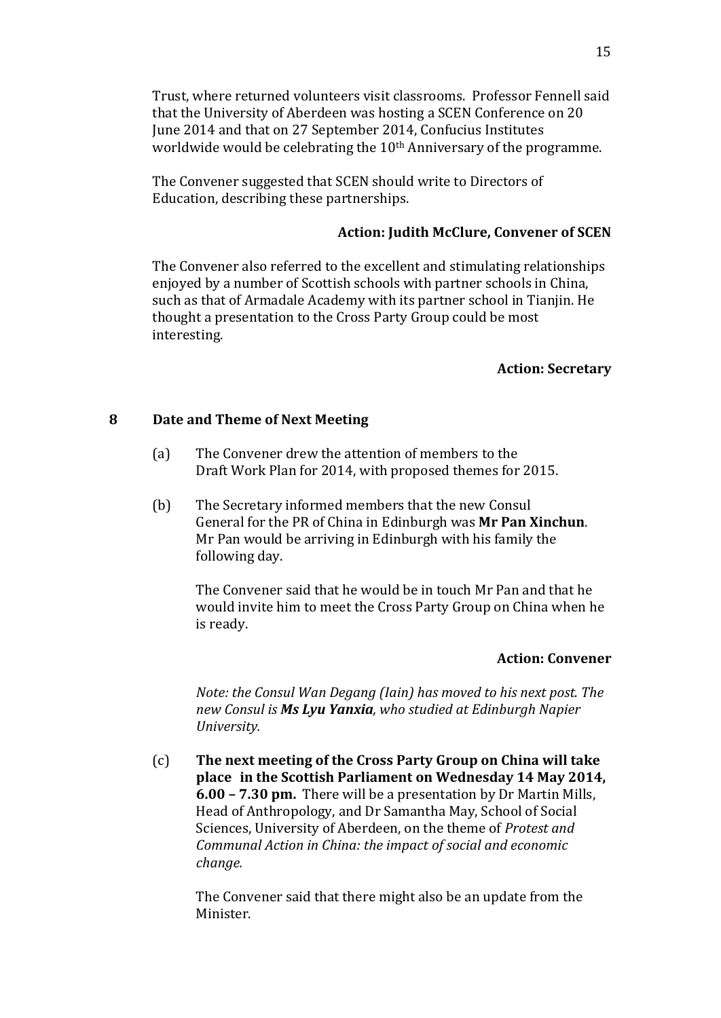Trust, where returned volunteers visit classrooms. Professor Fennell said that the University of Aberdeen was hosting a SCEN Conference on 20 June 2014 and that on 27 September 2014, Confucius Institutes worldwide would be celebrating the 10<sup>th</sup> Anniversary of the programme.

The Convener suggested that SCEN should write to Directors of Education, describing these partnerships.

### **Action: Judith McClure, Convener of SCEN**

The Convener also referred to the excellent and stimulating relationships enjoyed by a number of Scottish schools with partner schools in China, such as that of Armadale Academy with its partner school in Tianjin. He thought a presentation to the Cross Party Group could be most interesting.

#### **Action: Secretary**

#### **8 Date and Theme of Next Meeting**

- (a) The Convener drew the attention of members to the Draft Work Plan for 2014, with proposed themes for 2015.
- (b) The Secretary informed members that the new Consul General for the PR of China in Edinburgh was **Mr Pan Xinchun**. Mr Pan would be arriving in Edinburgh with his family the following day.

The Convener said that he would be in touch Mr Pan and that he would invite him to meet the Cross Party Group on China when he is ready.

#### **Action: Convener**

*Note: the Consul Wan Degang (Iain) has moved to his next post. The new Consul is Ms Lyu Yanxia, who studied at Edinburgh Napier University.*

(c) **The next meeting of the Cross Party Group on China will take place in the Scottish Parliament on Wednesday 14 May 2014, 6.00 – 7.30 pm.** There will be a presentation by Dr Martin Mills, Head of Anthropology, and Dr Samantha May, School of Social Sciences, University of Aberdeen, on the theme of *Protest and Communal Action in China: the impact of social and economic change.*

The Convener said that there might also be an update from the Minister.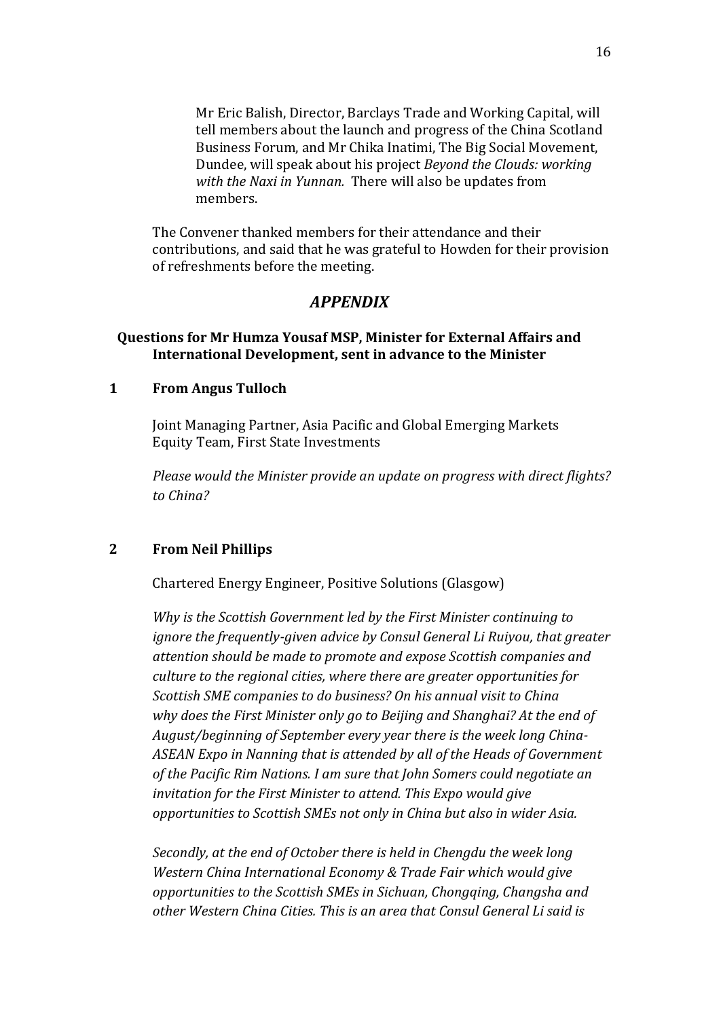Mr Eric Balish, Director, Barclays Trade and Working Capital, will tell members about the launch and progress of the China Scotland Business Forum, and Mr Chika Inatimi, The Big Social Movement, Dundee, will speak about his project *Beyond the Clouds: working with the Naxi in Yunnan.* There will also be updates from members.

The Convener thanked members for their attendance and their contributions, and said that he was grateful to Howden for their provision of refreshments before the meeting.

## *APPENDIX*

### **Questions for Mr Humza Yousaf MSP, Minister for External Affairs and International Development, sent in advance to the Minister**

### **1 From Angus Tulloch**

Joint Managing Partner, Asia Pacific and Global Emerging Markets Equity Team, First State Investments

*Please would the Minister provide an update on progress with direct flights? to China?*

#### **2 From Neil Phillips**

Chartered Energy Engineer, Positive Solutions (Glasgow)

*Why is the Scottish Government led by the First Minister continuing to ignore the frequently-given advice by Consul General Li Ruiyou, that greater attention should be made to promote and expose Scottish companies and culture to the regional cities, where there are greater opportunities for Scottish SME companies to do business? On his annual visit to China why does the First Minister only go to Beijing and Shanghai? At the end of August/beginning of September every year there is the week long China-ASEAN Expo in Nanning that is attended by all of the Heads of Government of the Pacific Rim Nations. I am sure that John Somers could negotiate an invitation for the First Minister to attend. This Expo would give opportunities to Scottish SMEs not only in China but also in wider Asia.*

*Secondly, at the end of October there is held in Chengdu the week long Western China International Economy & Trade Fair which would give opportunities to the Scottish SMEs in Sichuan, Chongqing, Changsha and other Western China Cities. This is an area that Consul General Li said is*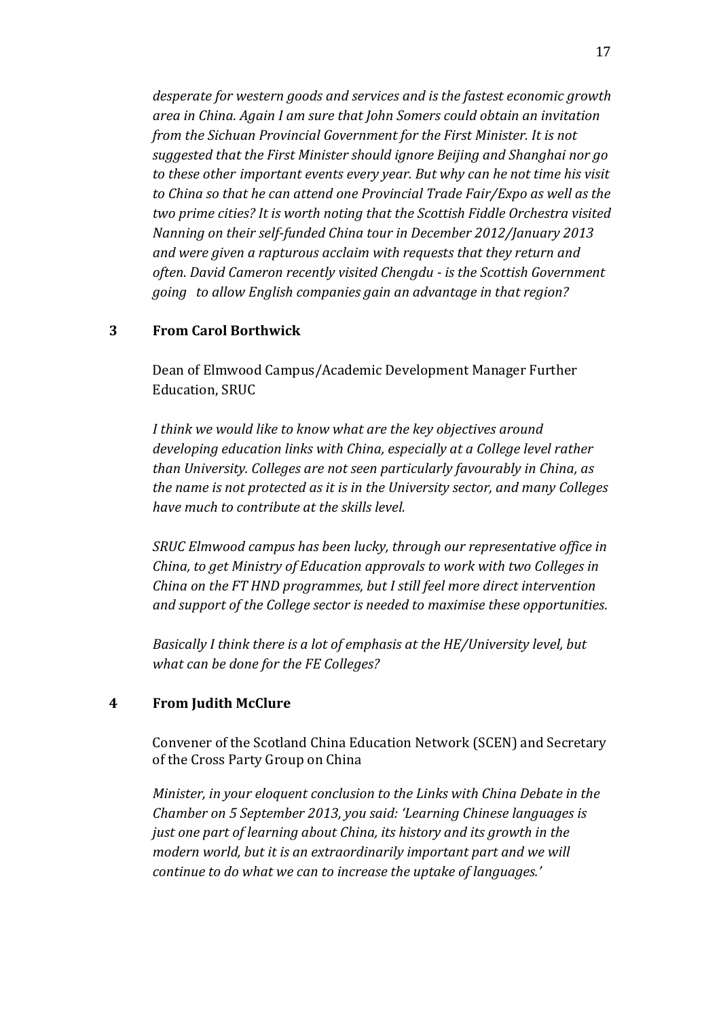*desperate for western goods and services and is the fastest economic growth area in China. Again I am sure that John Somers could obtain an invitation from the Sichuan Provincial Government for the First Minister. It is not suggested that the First Minister should ignore Beijing and Shanghai nor go to these other important events every year. But why can he not time his visit to China so that he can attend one Provincial Trade Fair/Expo as well as the two prime cities? It is worth noting that the Scottish Fiddle Orchestra visited Nanning on their self-funded China tour in December 2012/January 2013 and were given a rapturous acclaim with requests that they return and often. David Cameron recently visited Chengdu - is the Scottish Government going to allow English companies gain an advantage in that region?*

### **3 From Carol Borthwick**

Dean of Elmwood Campus/Academic Development Manager Further Education, SRUC

*I think we would like to know what are the key objectives around developing education links with China, especially at a College level rather than University. Colleges are not seen particularly favourably in China, as the name is not protected as it is in the University sector, and many Colleges have much to contribute at the skills level.*

*SRUC Elmwood campus has been lucky, through our representative office in China, to get Ministry of Education approvals to work with two Colleges in China on the FT HND programmes, but I still feel more direct intervention and support of the College sector is needed to maximise these opportunities.*

*Basically I think there is a lot of emphasis at the HE/University level, but what can be done for the FE Colleges?*

## **4 From Judith McClure**

Convener of the Scotland China Education Network (SCEN) and Secretary of the Cross Party Group on China

*Minister, in your eloquent conclusion to the Links with China Debate in the Chamber on 5 September 2013, you said: 'Learning Chinese languages is just one part of learning about China, its history and its growth in the modern world, but it is an extraordinarily important part and we will continue to do what we can to increase the uptake of languages.'*